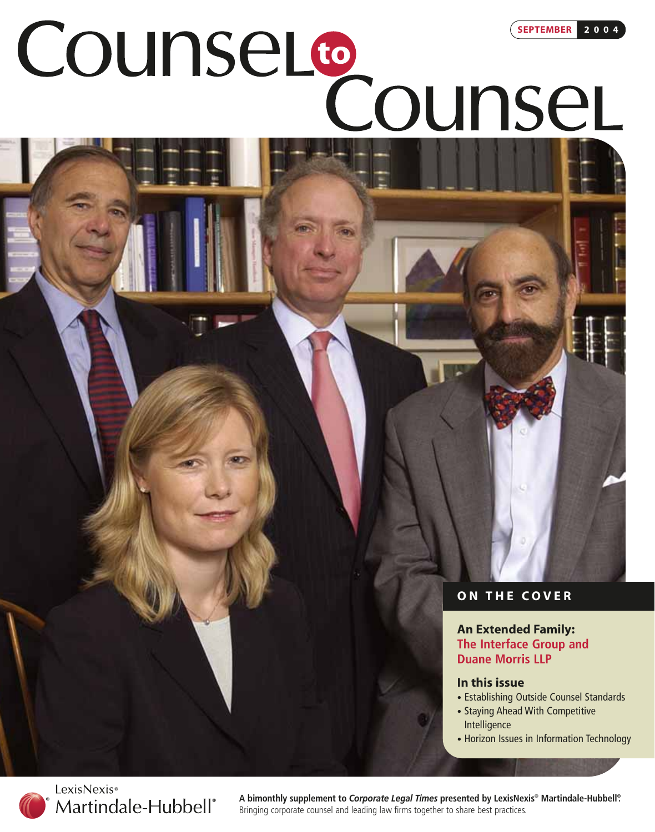**SEPTEMBER 2004**

# **Counsel** co **Counsel**

# **ON THE COVER**

### **An Extended Family: The Interface Group and Duane Morris LLP**

#### **In this issue**

- Establishing Outside Counsel Standards
- Staying Ahead With Competitive Intelligence
- Horizon Issues in Information Technology



**A bimonthly supplement to** *Corporate Legal Times* **presented by LexisNexis® Martindale-Hubbell® .** Bringing corporate counsel and leading law firms together to share best practices.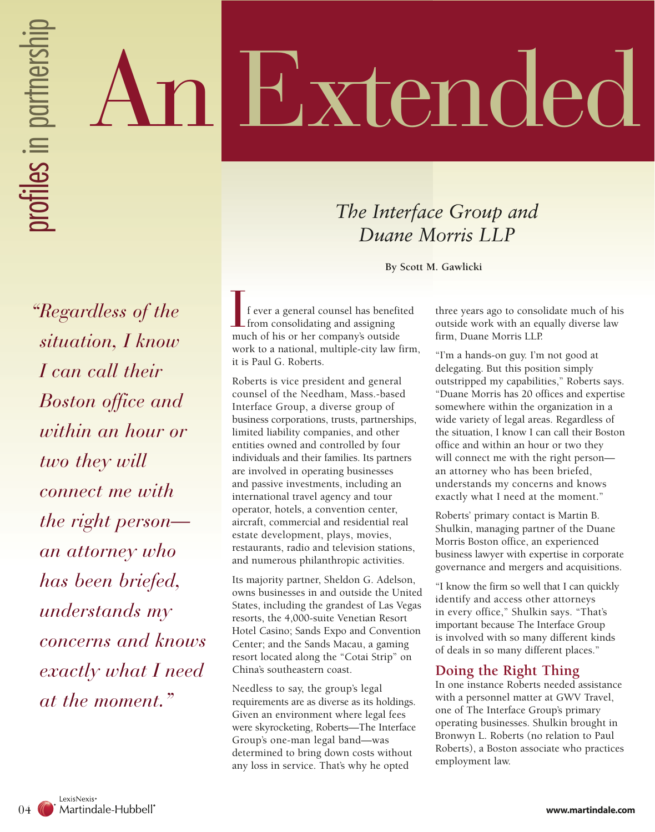# **Extended**

04 **www.martindale.com** profiles in partnership profiles in partnership *"Regardless of the situation, I know I can call their Boston office and within an hour or two they will connect me with the right person an attorney who has been briefed, understands my concerns and knows exactly what I need at the moment."*

# *The Interface Group and Duane Morris LLP*

**By Scott M. Gawlicki**

f ever a general counsel has benefited from consolidating and assigning much of his or her company's outside work to a national, multiple-city law firm, it is Paul G. Roberts.  $\prod_{\text{mu}}$ 

Roberts is vice president and general counsel of the Needham, Mass.-based Interface Group, a diverse group of business corporations, trusts, partnerships, limited liability companies, and other entities owned and controlled by four individuals and their families. Its partners are involved in operating businesses and passive investments, including an international travel agency and tour operator, hotels, a convention center, aircraft, commercial and residential real estate development, plays, movies, restaurants, radio and television stations, and numerous philanthropic activities.

Its majority partner, Sheldon G. Adelson, owns businesses in and outside the United States, including the grandest of Las Vegas resorts, the 4,000-suite Venetian Resort Hotel Casino; Sands Expo and Convention Center; and the Sands Macau, a gaming resort located along the "Cotai Strip" on China's southeastern coast.

Needless to say, the group's legal requirements are as diverse as its holdings. Given an environment where legal fees were skyrocketing, Roberts—The Interface Group's one-man legal band—was determined to bring down costs without any loss in service. That's why he opted

three years ago to consolidate much of his outside work with an equally diverse law firm, Duane Morris LLP.

"I'm a hands-on guy. I'm not good at delegating. But this position simply outstripped my capabilities," Roberts says. "Duane Morris has 20 offices and expertise somewhere within the organization in a wide variety of legal areas. Regardless of the situation, I know I can call their Boston office and within an hour or two they will connect me with the right person an attorney who has been briefed, understands my concerns and knows exactly what I need at the moment."

Roberts' primary contact is Martin B. Shulkin, managing partner of the Duane Morris Boston office, an experienced business lawyer with expertise in corporate governance and mergers and acquisitions.

"I know the firm so well that I can quickly identify and access other attorneys in every office," Shulkin says. "That's important because The Interface Group is involved with so many different kinds of deals in so many different places."

# **Doing the Right Thing**

In one instance Roberts needed assistance with a personnel matter at GWV Travel, one of The Interface Group's primary operating businesses. Shulkin brought in Bronwyn L. Roberts (no relation to Paul Roberts), a Boston associate who practices employment law.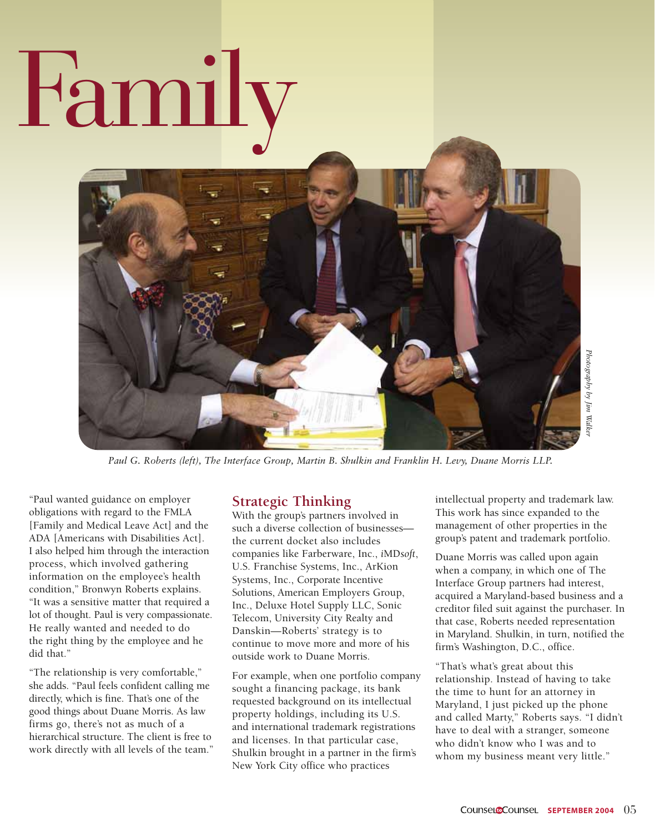# Family



*Paul G. Roberts (left), The Interface Group, Martin B. Shulkin and Franklin H. Levy, Duane Morris LLP.*

"Paul wanted guidance on employer obligations with regard to the FMLA [Family and Medical Leave Act] and the ADA [Americans with Disabilities Act]. I also helped him through the interaction process, which involved gathering information on the employee's health condition," Bronwyn Roberts explains. "It was a sensitive matter that required a lot of thought. Paul is very compassionate. He really wanted and needed to do the right thing by the employee and he did that."

"The relationship is very comfortable," she adds. "Paul feels confident calling me directly, which is fine. That's one of the good things about Duane Morris. As law firms go, there's not as much of a hierarchical structure. The client is free to work directly with all levels of the team."

## **Strategic Thinking**

With the group's partners involved in such a diverse collection of businesses the current docket also includes companies like Farberware, Inc., *i*MD*soft*, U.S. Franchise Systems, Inc., ArKion Systems, Inc., Corporate Incentive Solutions, American Employers Group, Inc., Deluxe Hotel Supply LLC, Sonic Telecom, University City Realty and Danskin—Roberts' strategy is to continue to move more and more of his outside work to Duane Morris.

For example, when one portfolio company sought a financing package, its bank requested background on its intellectual property holdings, including its U.S. and international trademark registrations and licenses. In that particular case, Shulkin brought in a partner in the firm's New York City office who practices

intellectual property and trademark law. This work has since expanded to the management of other properties in the group's patent and trademark portfolio.

Duane Morris was called upon again when a company, in which one of The Interface Group partners had interest, acquired a Maryland-based business and a creditor filed suit against the purchaser. In that case, Roberts needed representation in Maryland. Shulkin, in turn, notified the firm's Washington, D.C., office.

"That's what's great about this relationship. Instead of having to take the time to hunt for an attorney in Maryland, I just picked up the phone and called Marty," Roberts says. "I didn't have to deal with a stranger, someone who didn't know who I was and to whom my business meant very little."